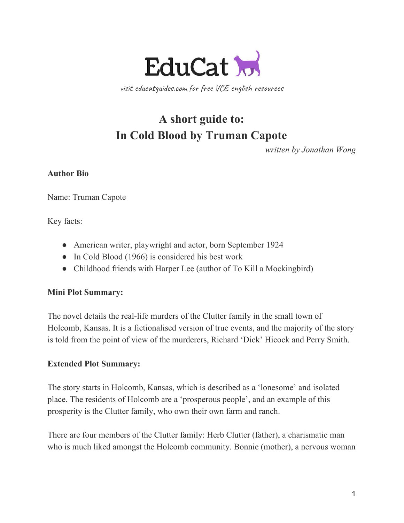

visit educatguides.com for free VCE english resources

# **A short guide to: In Cold Blood by Truman Capote**

*written by Jonathan Wong*

## **Author Bio**

Name: Truman Capote

Key facts:

- American writer, playwright and actor, born September 1924
- In Cold Blood (1966) is considered his best work
- Childhood friends with Harper Lee (author of To Kill a Mockingbird)

## **Mini Plot Summary:**

The novel details the real-life murders of the Clutter family in the small town of Holcomb, Kansas. It is a fictionalised version of true events, and the majority of the story is told from the point of view of the murderers, Richard 'Dick' Hicock and Perry Smith.

## **Extended Plot Summary:**

The story starts in Holcomb, Kansas, which is described as a 'lonesome' and isolated place. The residents of Holcomb are a 'prosperous people', and an example of this prosperity is the Clutter family, who own their own farm and ranch.

There are four members of the Clutter family: Herb Clutter (father), a charismatic man who is much liked amongst the Holcomb community. Bonnie (mother), a nervous woman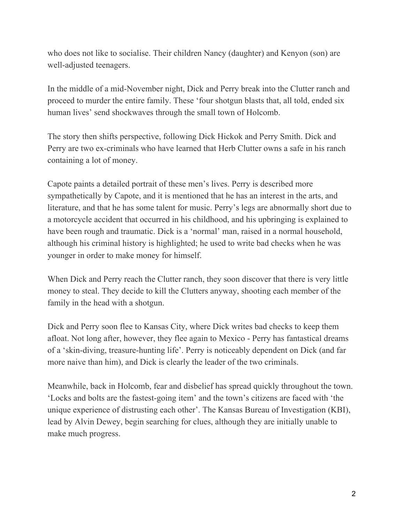who does not like to socialise. Their children Nancy (daughter) and Kenyon (son) are well-adjusted teenagers.

In the middle of a mid-November night, Dick and Perry break into the Clutter ranch and proceed to murder the entire family. These 'four shotgun blasts that, all told, ended six human lives' send shockwaves through the small town of Holcomb.

The story then shifts perspective, following Dick Hickok and Perry Smith. Dick and Perry are two ex-criminals who have learned that Herb Clutter owns a safe in his ranch containing a lot of money.

Capote paints a detailed portrait of these men's lives. Perry is described more sympathetically by Capote, and it is mentioned that he has an interest in the arts, and literature, and that he has some talent for music. Perry's legs are abnormally short due to a motorcycle accident that occurred in his childhood, and his upbringing is explained to have been rough and traumatic. Dick is a 'normal' man, raised in a normal household, although his criminal history is highlighted; he used to write bad checks when he was younger in order to make money for himself.

When Dick and Perry reach the Clutter ranch, they soon discover that there is very little money to steal. They decide to kill the Clutters anyway, shooting each member of the family in the head with a shotgun.

Dick and Perry soon flee to Kansas City, where Dick writes bad checks to keep them afloat. Not long after, however, they flee again to Mexico - Perry has fantastical dreams of a 'skin-diving, treasure-hunting life'. Perry is noticeably dependent on Dick (and far more naive than him), and Dick is clearly the leader of the two criminals.

Meanwhile, back in Holcomb, fear and disbelief has spread quickly throughout the town. 'Locks and bolts are the fastest-going item' and the town's citizens are faced with 'the unique experience of distrusting each other'. The Kansas Bureau of Investigation (KBI), lead by Alvin Dewey, begin searching for clues, although they are initially unable to make much progress.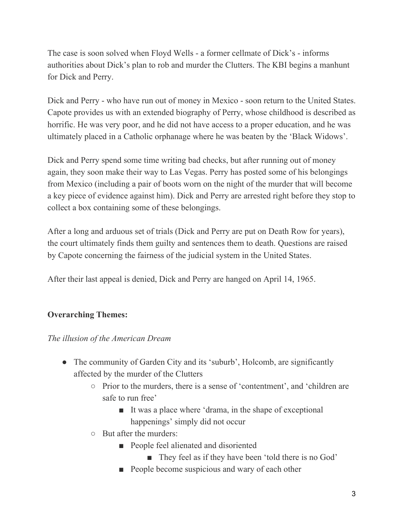The case is soon solved when Floyd Wells - a former cellmate of Dick's - informs authorities about Dick's plan to rob and murder the Clutters. The KBI begins a manhunt for Dick and Perry.

Dick and Perry - who have run out of money in Mexico - soon return to the United States. Capote provides us with an extended biography of Perry, whose childhood is described as horrific. He was very poor, and he did not have access to a proper education, and he was ultimately placed in a Catholic orphanage where he was beaten by the 'Black Widows'.

Dick and Perry spend some time writing bad checks, but after running out of money again, they soon make their way to Las Vegas. Perry has posted some of his belongings from Mexico (including a pair of boots worn on the night of the murder that will become a key piece of evidence against him). Dick and Perry are arrested right before they stop to collect a box containing some of these belongings.

After a long and arduous set of trials (Dick and Perry are put on Death Row for years), the court ultimately finds them guilty and sentences them to death. Questions are raised by Capote concerning the fairness of the judicial system in the United States.

After their last appeal is denied, Dick and Perry are hanged on April 14, 1965.

# **Overarching Themes:**

*The illusion of the American Dream*

- The community of Garden City and its 'suburb', Holcomb, are significantly affected by the murder of the Clutters
	- Prior to the murders, there is a sense of 'contentment', and 'children are safe to run free'
		- It was a place where 'drama, in the shape of exceptional happenings' simply did not occur
	- But after the murders:
		- People feel alienated and disoriented
			- They feel as if they have been 'told there is no God'
		- People become suspicious and wary of each other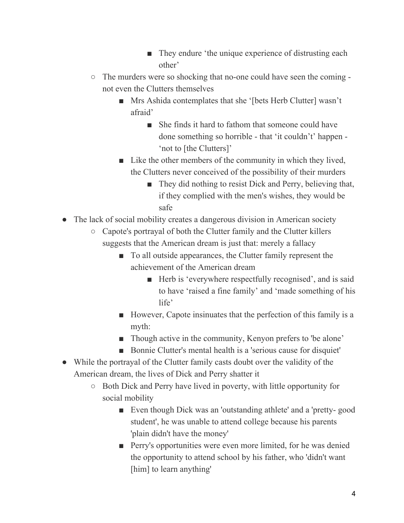- They endure 'the unique experience of distrusting each other'
- The murders were so shocking that no-one could have seen the coming not even the Clutters themselves
	- Mrs Ashida contemplates that she '[bets Herb Clutter] wasn't afraid'
		- She finds it hard to fathom that someone could have done something so horrible - that 'it couldn't' happen - 'not to [the Clutters]'
	- Like the other members of the community in which they lived, the Clutters never conceived of the possibility of their murders
		- They did nothing to resist Dick and Perry, believing that, if they complied with the men's wishes, they would be safe
- The lack of social mobility creates a dangerous division in American society
	- Capote's portrayal of both the Clutter family and the Clutter killers suggests that the American dream is just that: merely a fallacy
		- To all outside appearances, the Clutter family represent the achievement of the American dream
			- Herb is 'everywhere respectfully recognised', and is said to have 'raised a fine family' and 'made something of his life'
		- However, Capote insinuates that the perfection of this family is a myth:
		- Though active in the community, Kenyon prefers to 'be alone'
		- Bonnie Clutter's mental health is a 'serious cause for disquiet'
- While the portrayal of the Clutter family casts doubt over the validity of the American dream, the lives of Dick and Perry shatter it
	- Both Dick and Perry have lived in poverty, with little opportunity for social mobility
		- Even though Dick was an 'outstanding athlete' and a 'pretty-good student', he was unable to attend college because his parents 'plain didn't have the money'
		- Perry's opportunities were even more limited, for he was denied the opportunity to attend school by his father, who 'didn't want [him] to learn anything'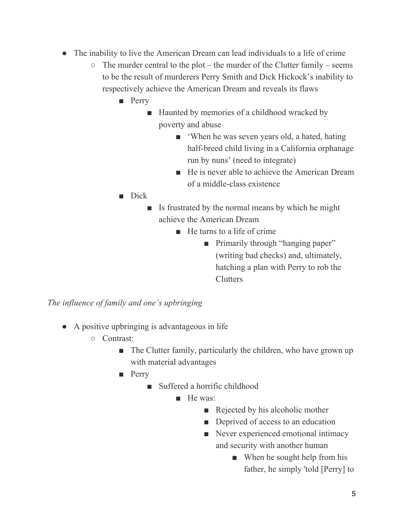- The inability to live the American Dream can lead individuals to a life of crime
	- $\circ$  The murder central to the plot the murder of the Clutter family seems to be the result of murderers Perry Smith and Dick Hickock's inability to respectively achieve the American Dream and reveals its flaws
		- Perry
			- Haunted by memories of a childhood wracked by poverty and abuse
				- When he was seven years old, a hated, hating half-breed child living in a California orphanage run by nuns' (need to integrate)
				- He is never able to achieve the American Dream of a middle-class existence
		- Dick
			- Is frustrated by the normal means by which he might achieve the American Dream
				- He turns to a life of crime
					- Primarily through "hanging paper" (writing bad checks) and, ultimately, hatching a plan with Perry to rob the Clutters

*The influence of family and one's upbringing*

- A positive upbringing is advantageous in life
	- Contrast:
		- The Clutter family, particularly the children, who have grown up with material advantages
		- Perry
			- Suffered a horrific childhood
				- He was:
					- Rejected by his alcoholic mother
					- Deprived of access to an education
					- Never experienced emotional intimacy and security with another human
						- When he sought help from his father, he simply 'told [Perry] to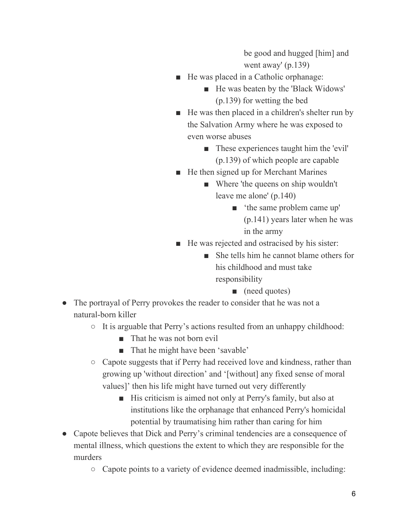be good and hugged [him] and went away' (p.139)

- He was placed in a Catholic orphanage:
	- He was beaten by the 'Black Widows' (p.139) for wetting the bed
- He was then placed in a children's shelter run by the Salvation Army where he was exposed to even worse abuses
	- These experiences taught him the 'evil' (p.139) of which people are capable
- He then signed up for Merchant Marines
	- Where 'the queens on ship wouldn't leave me alone' (p.140)
		- 'the same problem came up' (p.141) years later when he was in the army
- He was rejected and ostracised by his sister:
	- She tells him he cannot blame others for his childhood and must take responsibility
		- (need quotes)
- The portrayal of Perry provokes the reader to consider that he was not a natural-born killer
	- It is arguable that Perry's actions resulted from an unhappy childhood:
		- That he was not born evil
		- That he might have been 'savable'
	- Capote suggests that if Perry had received love and kindness, rather than growing up 'without direction' and '[without] any fixed sense of moral values]' then his life might have turned out very differently
		- His criticism is aimed not only at Perry's family, but also at institutions like the orphanage that enhanced Perry's homicidal potential by traumatising him rather than caring for him
- Capote believes that Dick and Perry's criminal tendencies are a consequence of mental illness, which questions the extent to which they are responsible for the murders
	- Capote points to a variety of evidence deemed inadmissible, including: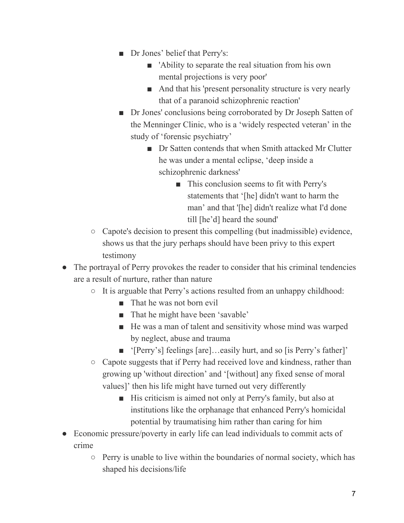- Dr Jones' belief that Perry's:
	- 'Ability to separate the real situation from his own mental projections is very poor'
	- And that his 'present personality structure is very nearly that of a paranoid schizophrenic reaction'
- Dr Jones' conclusions being corroborated by Dr Joseph Satten of the Menninger Clinic, who is a 'widely respected veteran' in the study of 'forensic psychiatry'
	- Dr Satten contends that when Smith attacked Mr Clutter he was under a mental eclipse, 'deep inside a schizophrenic darkness'
		- This conclusion seems to fit with Perry's statements that '[he] didn't want to harm the man' and that '[he] didn't realize what I'd done till [he'd] heard the sound'
- Capote's decision to present this compelling (but inadmissible) evidence, shows us that the jury perhaps should have been privy to this expert testimony
- The portrayal of Perry provokes the reader to consider that his criminal tendencies are a result of nurture, rather than nature
	- It is arguable that Perry's actions resulted from an unhappy childhood:
		- That he was not born evil
		- That he might have been 'savable'
		- He was a man of talent and sensitivity whose mind was warped by neglect, abuse and trauma
		- '[Perry's] feelings [are]...easily hurt, and so [is Perry's father]'
	- Capote suggests that if Perry had received love and kindness, rather than growing up 'without direction' and '[without] any fixed sense of moral values]' then his life might have turned out very differently
		- His criticism is aimed not only at Perry's family, but also at institutions like the orphanage that enhanced Perry's homicidal potential by traumatising him rather than caring for him
- Economic pressure/poverty in early life can lead individuals to commit acts of crime
	- Perry is unable to live within the boundaries of normal society, which has shaped his decisions/life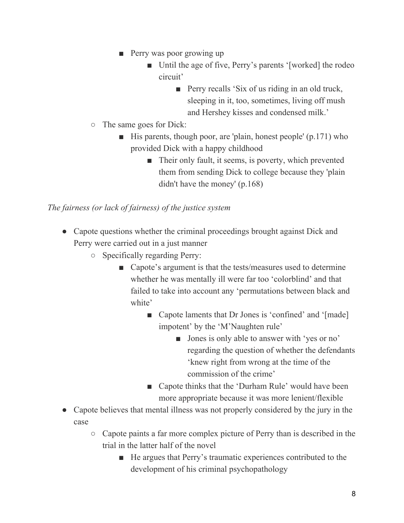- Perry was poor growing up
	- Until the age of five, Perry's parents '[worked] the rodeo circuit'
		- Perry recalls 'Six of us riding in an old truck, sleeping in it, too, sometimes, living off mush and Hershey kisses and condensed milk.'
- The same goes for Dick:
	- $\blacksquare$  His parents, though poor, are 'plain, honest people' (p.171) who provided Dick with a happy childhood
		- Their only fault, it seems, is poverty, which prevented them from sending Dick to college because they 'plain didn't have the money' (p.168)

## *The fairness (or lack of fairness) of the justice system*

- Capote questions whether the criminal proceedings brought against Dick and Perry were carried out in a just manner
	- Specifically regarding Perry:
		- Capote's argument is that the tests/measures used to determine whether he was mentally ill were far too 'colorblind' and that failed to take into account any 'permutations between black and white'
			- Capote laments that Dr Jones is 'confined' and '[made] impotent' by the 'M'Naughten rule'
				- Jones is only able to answer with 'yes or no' regarding the question of whether the defendants 'knew right from wrong at the time of the commission of the crime'
			- Capote thinks that the 'Durham Rule' would have been more appropriate because it was more lenient/flexible
- Capote believes that mental illness was not properly considered by the jury in the case
	- Capote paints a far more complex picture of Perry than is described in the trial in the latter half of the novel
		- He argues that Perry's traumatic experiences contributed to the development of his criminal psychopathology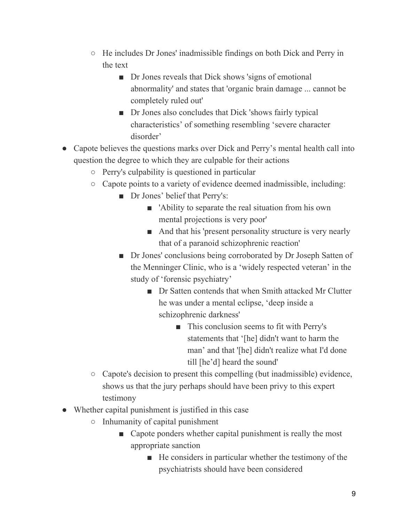- He includes Dr Jones' inadmissible findings on both Dick and Perry in the text
	- Dr Jones reveals that Dick shows 'signs of emotional abnormality' and states that 'organic brain damage ... cannot be completely ruled out'
	- Dr Jones also concludes that Dick 'shows fairly typical characteristics' of something resembling 'severe character disorder'
- Capote believes the questions marks over Dick and Perry's mental health call into question the degree to which they are culpable for their actions
	- Perry's culpability is questioned in particular
	- Capote points to a variety of evidence deemed inadmissible, including:
		- Dr Jones' belief that Perry's:
			- 'Ability to separate the real situation from his own mental projections is very poor'
			- And that his 'present personality structure is very nearly that of a paranoid schizophrenic reaction'
		- Dr Jones' conclusions being corroborated by Dr Joseph Satten of the Menninger Clinic, who is a 'widely respected veteran' in the study of 'forensic psychiatry'
			- Dr Satten contends that when Smith attacked Mr Clutter he was under a mental eclipse, 'deep inside a schizophrenic darkness'
				- This conclusion seems to fit with Perry's statements that '[he] didn't want to harm the man' and that '[he] didn't realize what I'd done till [he'd] heard the sound'
	- Capote's decision to present this compelling (but inadmissible) evidence, shows us that the jury perhaps should have been privy to this expert testimony
- Whether capital punishment is justified in this case
	- Inhumanity of capital punishment
		- Capote ponders whether capital punishment is really the most appropriate sanction
			- He considers in particular whether the testimony of the psychiatrists should have been considered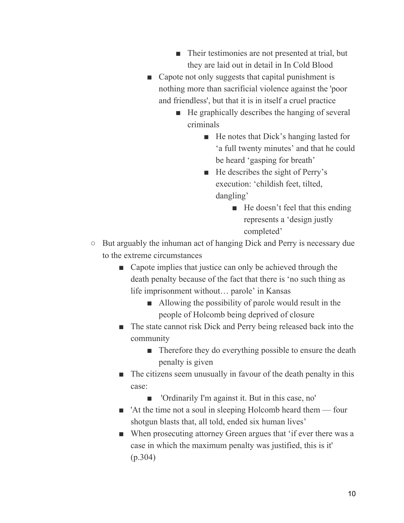- Their testimonies are not presented at trial, but they are laid out in detail in In Cold Blood
- Capote not only suggests that capital punishment is nothing more than sacrificial violence against the 'poor and friendless', but that it is in itself a cruel practice
	- He graphically describes the hanging of several criminals
		- He notes that Dick's hanging lasted for 'a full twenty minutes' and that he could be heard 'gasping for breath'
		- He describes the sight of Perry's execution: 'childish feet, tilted, dangling'
			- He doesn't feel that this ending represents a 'design justly completed'
- But arguably the inhuman act of hanging Dick and Perry is necessary due to the extreme circumstances
	- Capote implies that justice can only be achieved through the death penalty because of the fact that there is 'no such thing as life imprisonment without… parole' in Kansas
		- Allowing the possibility of parole would result in the people of Holcomb being deprived of closure
	- The state cannot risk Dick and Perry being released back into the community
		- Therefore they do everything possible to ensure the death penalty is given
	- The citizens seem unusually in favour of the death penalty in this case:
		- 'Ordinarily I'm against it. But in this case, no'
	- 'At the time not a soul in sleeping Holcomb heard them four shotgun blasts that, all told, ended six human lives'
	- When prosecuting attorney Green argues that 'if ever there was a case in which the maximum penalty was justified, this is it' (p.304)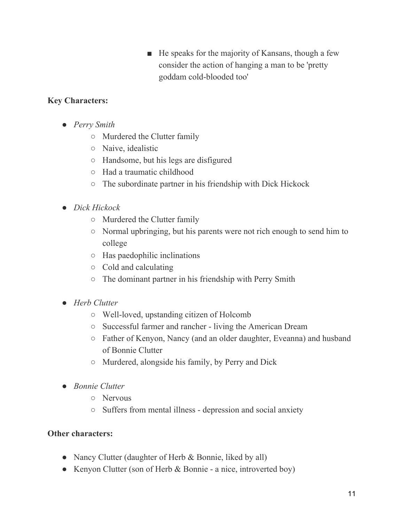■ He speaks for the majority of Kansans, though a few consider the action of hanging a man to be 'pretty goddam cold-blooded too'

## **Key Characters:**

- *Perry Smith*
	- Murdered the Clutter family
	- Naive, idealistic
	- Handsome, but his legs are disfigured
	- Had a traumatic childhood
	- The subordinate partner in his friendship with Dick Hickock
- *Dick Hickock*
	- Murdered the Clutter family
	- Normal upbringing, but his parents were not rich enough to send him to college
	- Has paedophilic inclinations
	- Cold and calculating
	- The dominant partner in his friendship with Perry Smith
- *Herb Clutter*
	- Well-loved, upstanding citizen of Holcomb
	- Successful farmer and rancher living the American Dream
	- Father of Kenyon, Nancy (and an older daughter, Eveanna) and husband of Bonnie Clutter
	- Murdered, alongside his family, by Perry and Dick
- *● Bonnie Clutter*
	- *○* Nervous
	- *○* Suffers from mental illness depression and social anxiety

## **Other characters:**

- Nancy Clutter (daughter of Herb & Bonnie, liked by all)
- Kenyon Clutter (son of Herb & Bonnie a nice, introverted boy)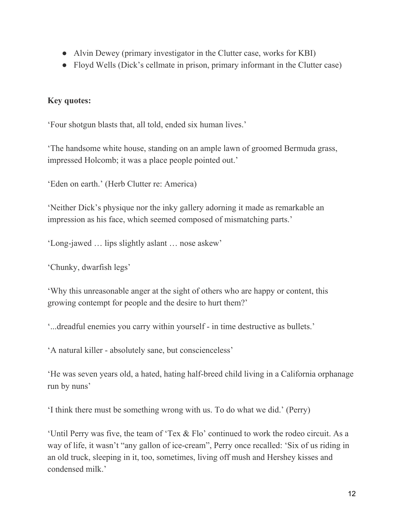- Alvin Dewey (primary investigator in the Clutter case, works for KBI)
- Floyd Wells (Dick's cellmate in prison, primary informant in the Clutter case)

# **Key quotes:**

'Four shotgun blasts that, all told, ended six human lives.'

'The handsome white house, standing on an ample lawn of groomed Bermuda grass, impressed Holcomb; it was a place people pointed out.'

'Eden on earth.' (Herb Clutter re: America)

'Neither Dick's physique nor the inky gallery adorning it made as remarkable an impression as his face, which seemed composed of mismatching parts.'

'Long-jawed … lips slightly aslant … nose askew'

'Chunky, dwarfish legs'

'Why this unreasonable anger at the sight of others who are happy or content, this growing contempt for people and the desire to hurt them?'

'...dreadful enemies you carry within yourself - in time destructive as bullets.'

'A natural killer - absolutely sane, but conscienceless'

'He was seven years old, a hated, hating half-breed child living in a California orphanage run by nuns'

'I think there must be something wrong with us. To do what we did.' (Perry)

'Until Perry was five, the team of 'Tex & Flo' continued to work the rodeo circuit. As a way of life, it wasn't "any gallon of ice-cream", Perry once recalled: 'Six of us riding in an old truck, sleeping in it, too, sometimes, living off mush and Hershey kisses and condensed milk.'